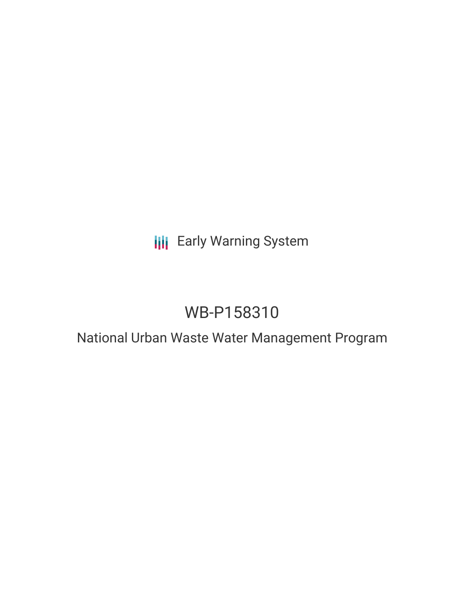# **III** Early Warning System

# WB-P158310

## National Urban Waste Water Management Program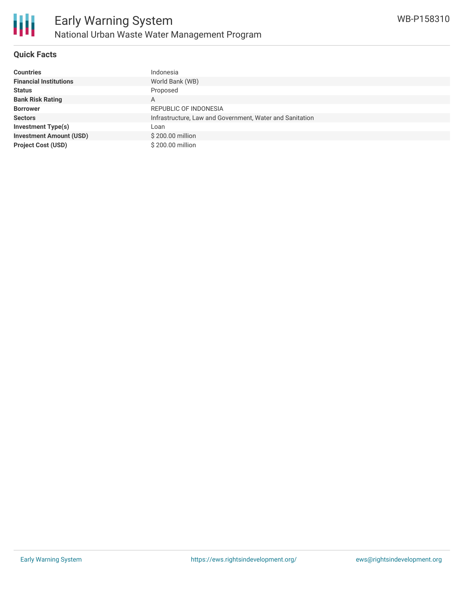

#### **Quick Facts**

| <b>Countries</b>               | Indonesia                                                |
|--------------------------------|----------------------------------------------------------|
| <b>Financial Institutions</b>  | World Bank (WB)                                          |
| <b>Status</b>                  | Proposed                                                 |
| <b>Bank Risk Rating</b>        | A                                                        |
| <b>Borrower</b>                | REPUBLIC OF INDONESIA                                    |
| <b>Sectors</b>                 | Infrastructure, Law and Government, Water and Sanitation |
| <b>Investment Type(s)</b>      | Loan                                                     |
| <b>Investment Amount (USD)</b> | \$200.00 million                                         |
| <b>Project Cost (USD)</b>      | \$200.00 million                                         |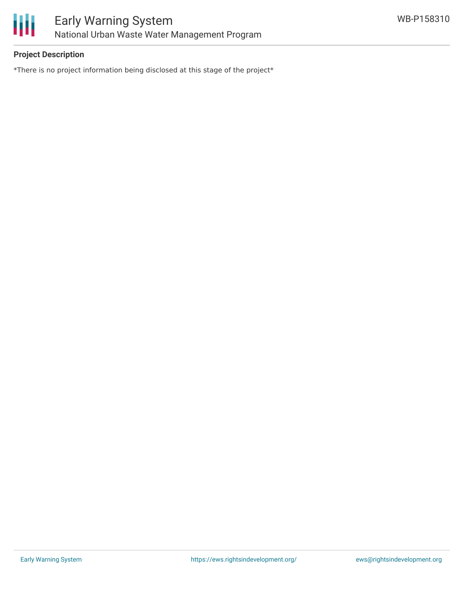

### **Project Description**

\*There is no project information being disclosed at this stage of the project\*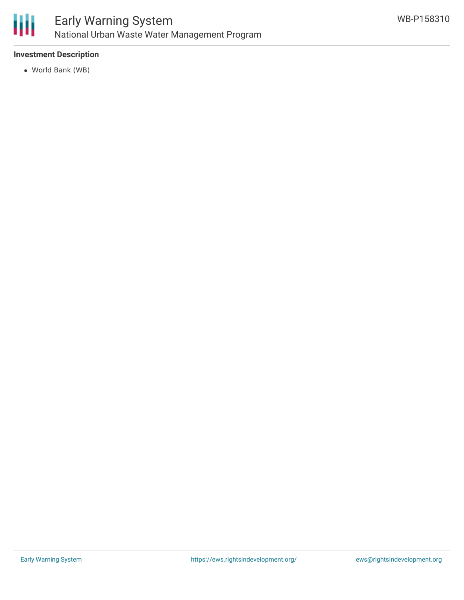

### **Investment Description**

World Bank (WB)